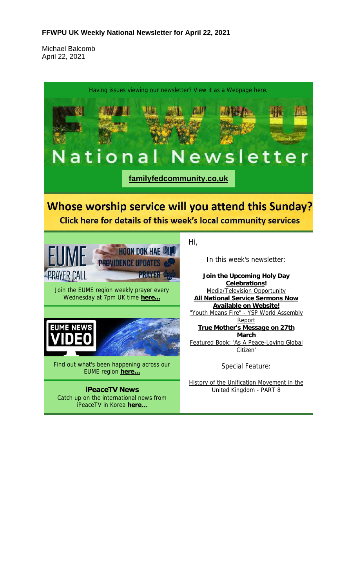#### **FFWPU UK Weekly National Newsletter for April 22, 2021**

Michael Balcomb April 22, 2021

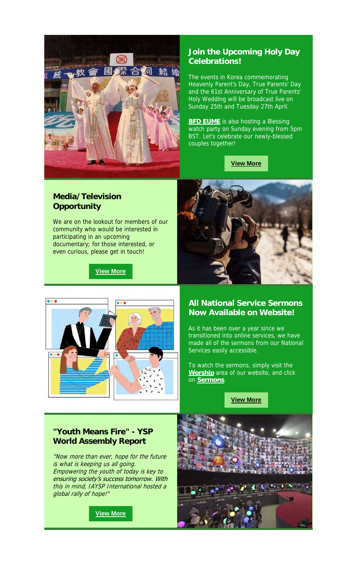

# **Join the Upcoming Holy Day Celebrations!**

The events in Korea commemorating Heavenly Parent's Day, True Parents' Day and the 61st Anniversary of True Parents' Holy Wedding will be broadcast live on Sunday 25th and Tuesday 27th April.

**BFD EUME** is also hosting a Blessing watch party on Sunday evening from 5pm BST. Let's celebrate our newly-blessed couples together!

**View More**

#### **Media/Television Opportunity**

We are on the lookout for members of our community who would be interested in participating in an upcoming documentary; for those interested, or even curious, please get in touch!

**View More**





#### **All National Service Sermons Now Available on Website!**

As it has been over a year since we transitioned into online services, we have made all of the sermons from our National Services easily accessible.

To watch the sermons, simply visit the **Worship** area of our website, and click on **Sermons**.

**View More**

# **"Youth Means Fire" - YSP World Assembly Report**

"Now more than ever, hope for the future is what is keeping us all going. Empowering the youth of today is key to ensuring society's success tomorrow. With this in mind, IAYSP International hosted a global rally of hope!"

**View More**

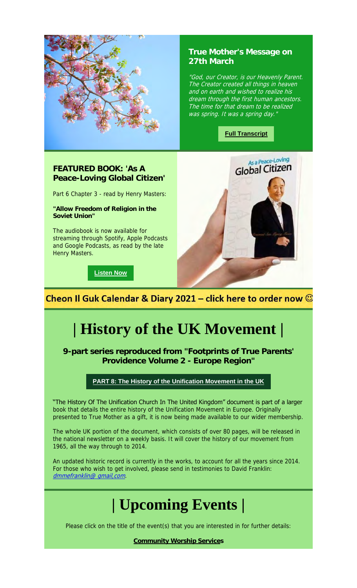

# **True Mother's Message on 27th March**

"God, our Creator, is our Heavenly Parent. The Creator created all things in heaven and on earth and wished to realize his dream through the first human ancestors. The time for that dream to be realized was spring. It was a spring day."

**Full Transcript**

# **FEATURED BOOK: 'As A Peace-Loving Global Citizen'**

Part 6 Chapter 3 - read by Henry Masters:

**"Allow Freedom of Religion in the Soviet Union"**

The audiobook is now available for streaming through Spotify, Apple Podcasts and Google Podcasts, as read by the late Henry Masters.

**Listen Now**



Cheon Il Guk Calendar & Diary 2021 – click here to order now  $\odot$ 

# **| History of the UK Movement |**

**9-part series reproduced from "Footprints of True Parents' Providence Volume 2 - Europe Region"**

#### **PART 8: The History of the Unification Movement in the UK**

"The History Of The Unification Church In The United Kingdom" document is part of a larger book that details the entire history of the Unification Movement in Europe. Originally presented to True Mother as a gift, it is now being made available to our wider membership.

The whole UK portion of the document, which consists of over 80 pages, will be released in the national newsletter on a weekly basis. It will cover the history of our movement from 1965, all the way through to 2014.

An updated historic record is currently in the works, to account for all the years since 2014. For those who wish to get involved, please send in testimonies to David Franklin: dmmefranklin@ qmail, com.

# **| Upcoming Events |**

Please click on the title of the event(s) that you are interested in for further details:

**Community Worship Services**